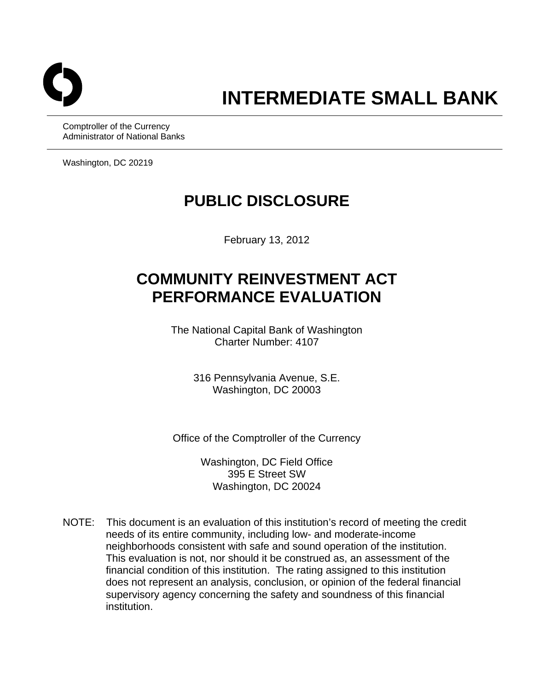

# **INTERMEDIATE SMALL BANK**

Comptroller of the Currency Administrator of National Banks

Washington, DC 20219

## **PUBLIC DISCLOSURE**

February 13, 2012

# **COMMUNITY REINVESTMENT ACT PERFORMANCE EVALUATION**

The National Capital Bank of Washington Charter Number: 4107

> 316 Pennsylvania Avenue, S.E. Washington, DC 20003

Office of the Comptroller of the Currency

Washington, DC Field Office 395 E Street SW Washington, DC 20024

NOTE: This document is an evaluation of this institution's record of meeting the credit needs of its entire community, including low- and moderate-income neighborhoods consistent with safe and sound operation of the institution. This evaluation is not, nor should it be construed as, an assessment of the financial condition of this institution. The rating assigned to this institution does not represent an analysis, conclusion, or opinion of the federal financial supervisory agency concerning the safety and soundness of this financial institution.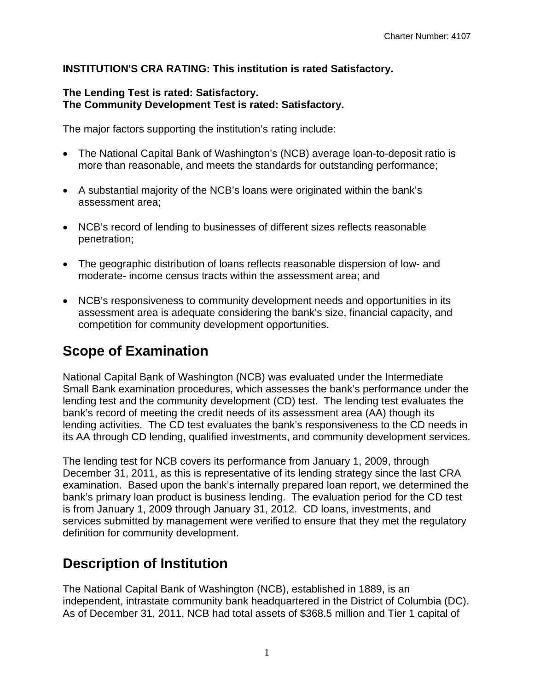#### **INSTITUTION'S CRA RATING: This institution is rated Satisfactory.**

#### **The Lending Test is rated: Satisfactory. The Community Development Test is rated: Satisfactory.**

The major factors supporting the institution's rating include:

- The National Capital Bank of Washington's (NCB) average loan-to-deposit ratio is more than reasonable, and meets the standards for outstanding performance;
- A substantial majority of the NCB's loans were originated within the bank's assessment area;
- NCB's record of lending to businesses of different sizes reflects reasonable penetration;
- The geographic distribution of loans reflects reasonable dispersion of low- and moderate- income census tracts within the assessment area; and
- NCB's responsiveness to community development needs and opportunities in its assessment area is adequate considering the bank's size, financial capacity, and competition for community development opportunities.

## **Scope of Examination**

National Capital Bank of Washington (NCB) was evaluated under the Intermediate Small Bank examination procedures, which assesses the bank's performance under the lending test and the community development (CD) test. The lending test evaluates the bank's record of meeting the credit needs of its assessment area (AA) though its lending activities. The CD test evaluates the bank's responsiveness to the CD needs in its AA through CD lending, qualified investments, and community development services.

The lending test for NCB covers its performance from January 1, 2009, through December 31, 2011, as this is representative of its lending strategy since the last CRA examination. Based upon the bank's internally prepared loan report, we determined the bank's primary loan product is business lending. The evaluation period for the CD test is from January 1, 2009 through January 31, 2012. CD loans, investments, and services submitted by management were verified to ensure that they met the regulatory definition for community development.

## **Description of Institution**

The National Capital Bank of Washington (NCB), established in 1889, is an independent, intrastate community bank headquartered in the District of Columbia (DC). As of December 31, 2011, NCB had total assets of \$368.5 million and Tier 1 capital of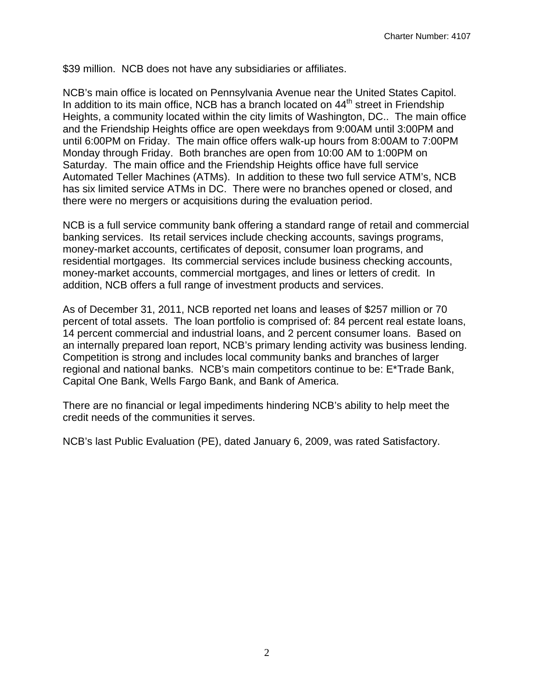\$39 million. NCB does not have any subsidiaries or affiliates.

NCB's main office is located on Pennsylvania Avenue near the United States Capitol. In addition to its main office, NCB has a branch located on  $44<sup>th</sup>$  street in Friendship Heights, a community located within the city limits of Washington, DC.. The main office and the Friendship Heights office are open weekdays from 9:00AM until 3:00PM and until 6:00PM on Friday. The main office offers walk-up hours from 8:00AM to 7:00PM Monday through Friday. Both branches are open from 10:00 AM to 1:00PM on Saturday. The main office and the Friendship Heights office have full service Automated Teller Machines (ATMs). In addition to these two full service ATM's, NCB has six limited service ATMs in DC. There were no branches opened or closed, and there were no mergers or acquisitions during the evaluation period.

NCB is a full service community bank offering a standard range of retail and commercial banking services. Its retail services include checking accounts, savings programs, money-market accounts, certificates of deposit, consumer loan programs, and residential mortgages. Its commercial services include business checking accounts, money-market accounts, commercial mortgages, and lines or letters of credit. In addition, NCB offers a full range of investment products and services.

As of December 31, 2011, NCB reported net loans and leases of \$257 million or 70 percent of total assets. The loan portfolio is comprised of: 84 percent real estate loans, 14 percent commercial and industrial loans, and 2 percent consumer loans. Based on an internally prepared loan report, NCB's primary lending activity was business lending. Competition is strong and includes local community banks and branches of larger regional and national banks. NCB's main competitors continue to be: E\*Trade Bank, Capital One Bank, Wells Fargo Bank, and Bank of America.

There are no financial or legal impediments hindering NCB's ability to help meet the credit needs of the communities it serves.

NCB's last Public Evaluation (PE), dated January 6, 2009, was rated Satisfactory.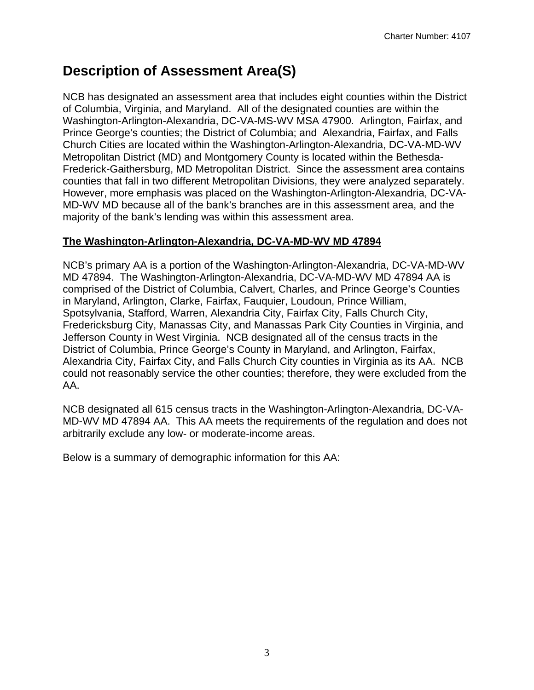## **Description of Assessment Area(S)**

NCB has designated an assessment area that includes eight counties within the District of Columbia, Virginia, and Maryland. All of the designated counties are within the Washington-Arlington-Alexandria, DC-VA-MS-WV MSA 47900. Arlington, Fairfax, and Prince George's counties; the District of Columbia; and Alexandria, Fairfax, and Falls Church Cities are located within the Washington-Arlington-Alexandria, DC-VA-MD-WV Metropolitan District (MD) and Montgomery County is located within the Bethesda-Frederick-Gaithersburg, MD Metropolitan District. Since the assessment area contains counties that fall in two different Metropolitan Divisions, they were analyzed separately. However, more emphasis was placed on the Washington-Arlington-Alexandria, DC-VA-MD-WV MD because all of the bank's branches are in this assessment area, and the majority of the bank's lending was within this assessment area.

#### **The Washington-Arlington-Alexandria, DC-VA-MD-WV MD 47894**

NCB's primary AA is a portion of the Washington-Arlington-Alexandria, DC-VA-MD-WV MD 47894. The Washington-Arlington-Alexandria, DC-VA-MD-WV MD 47894 AA is comprised of the District of Columbia, Calvert, Charles, and Prince George's Counties in Maryland, Arlington, Clarke, Fairfax, Fauquier, Loudoun, Prince William, Spotsylvania, Stafford, Warren, Alexandria City, Fairfax City, Falls Church City, Fredericksburg City, Manassas City, and Manassas Park City Counties in Virginia, and Jefferson County in West Virginia. NCB designated all of the census tracts in the District of Columbia, Prince George's County in Maryland, and Arlington, Fairfax, Alexandria City, Fairfax City, and Falls Church City counties in Virginia as its AA. NCB could not reasonably service the other counties; therefore, they were excluded from the AA.

NCB designated all 615 census tracts in the Washington-Arlington-Alexandria, DC-VA-MD-WV MD 47894 AA. This AA meets the requirements of the regulation and does not arbitrarily exclude any low- or moderate-income areas.

Below is a summary of demographic information for this AA: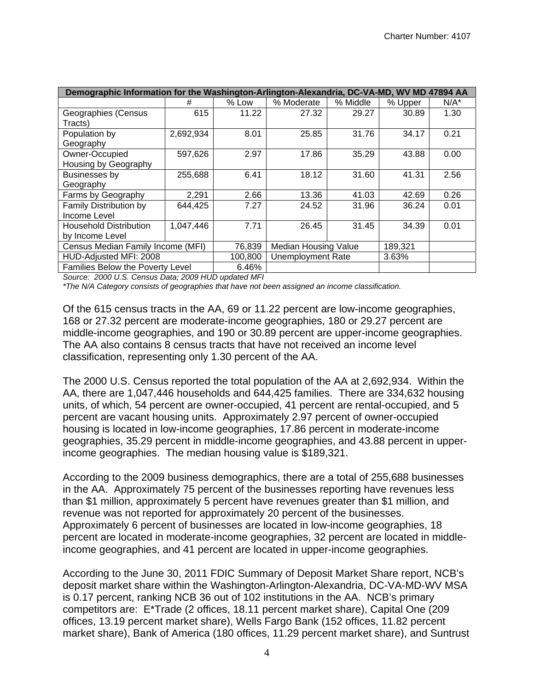|                                         | Demographic Information for the Washington-Arlington-Alexandria, DC-VA-MD, WV MD 47894 AA |         |                             |          |         |         |  |  |
|-----------------------------------------|-------------------------------------------------------------------------------------------|---------|-----------------------------|----------|---------|---------|--|--|
|                                         | #                                                                                         | % Low   | % Moderate                  | % Middle | % Upper | $N/A^*$ |  |  |
| Geographies (Census                     | 615                                                                                       | 11.22   | 27.32                       | 29.27    | 30.89   | 1.30    |  |  |
| Tracts)                                 |                                                                                           |         |                             |          |         |         |  |  |
| Population by                           | 2,692,934                                                                                 | 8.01    | 25.85                       | 31.76    | 34.17   | 0.21    |  |  |
| Geography                               |                                                                                           |         |                             |          |         |         |  |  |
| Owner-Occupied                          | 597,626                                                                                   | 2.97    | 17.86                       | 35.29    | 43.88   | 0.00    |  |  |
| Housing by Geography                    |                                                                                           |         |                             |          |         |         |  |  |
| Businesses by                           | 255,688                                                                                   | 6.41    | 18.12                       | 31.60    | 41.31   | 2.56    |  |  |
| Geography                               |                                                                                           |         |                             |          |         |         |  |  |
| Farms by Geography                      | 2,291                                                                                     | 2.66    | 13.36                       | 41.03    | 42.69   | 0.26    |  |  |
| Family Distribution by                  | 644,425                                                                                   | 7.27    | 24.52                       | 31.96    | 36.24   | 0.01    |  |  |
| Income Level                            |                                                                                           |         |                             |          |         |         |  |  |
| <b>Household Distribution</b>           | 1,047,446                                                                                 | 7.71    | 26.45                       | 31.45    | 34.39   | 0.01    |  |  |
| by Income Level                         |                                                                                           |         |                             |          |         |         |  |  |
| Census Median Family Income (MFI)       |                                                                                           | 76,839  | <b>Median Housing Value</b> |          | 189,321 |         |  |  |
| HUD-Adjusted MFI: 2008                  |                                                                                           | 100,800 | <b>Unemployment Rate</b>    |          | 3.63%   |         |  |  |
| <b>Families Below the Poverty Level</b> |                                                                                           | 6.46%   |                             |          |         |         |  |  |

*Source: 2000 U.S. Census Data; 2009 HUD updated MFI* 

*\*The N/A Category consists of geographies that have not been assigned an income classification.* 

Of the 615 census tracts in the AA, 69 or 11.22 percent are low-income geographies, 168 or 27.32 percent are moderate-income geographies, 180 or 29.27 percent are middle-income geographies, and 190 or 30.89 percent are upper-income geographies. The AA also contains 8 census tracts that have not received an income level classification, representing only 1.30 percent of the AA.

The 2000 U.S. Census reported the total population of the AA at 2,692,934. Within the AA, there are 1,047,446 households and 644,425 families. There are 334,632 housing units, of which, 54 percent are owner-occupied, 41 percent are rental-occupied, and 5 percent are vacant housing units. Approximately 2.97 percent of owner-occupied housing is located in low-income geographies, 17.86 percent in moderate-income geographies, 35.29 percent in middle-income geographies, and 43.88 percent in upperincome geographies. The median housing value is \$189,321.

According to the 2009 business demographics, there are a total of 255,688 businesses in the AA. Approximately 75 percent of the businesses reporting have revenues less than \$1 million, approximately 5 percent have revenues greater than \$1 million, and revenue was not reported for approximately 20 percent of the businesses. Approximately 6 percent of businesses are located in low-income geographies, 18 percent are located in moderate-income geographies, 32 percent are located in middleincome geographies, and 41 percent are located in upper-income geographies.

According to the June 30, 2011 FDIC Summary of Deposit Market Share report, NCB's deposit market share within the Washington-Arlington-Alexandria, DC-VA-MD-WV MSA is 0.17 percent, ranking NCB 36 out of 102 institutions in the AA. NCB's primary competitors are: E\*Trade (2 offices, 18.11 percent market share), Capital One (209 offices, 13.19 percent market share), Wells Fargo Bank (152 offices, 11.82 percent market share), Bank of America (180 offices, 11.29 percent market share), and Suntrust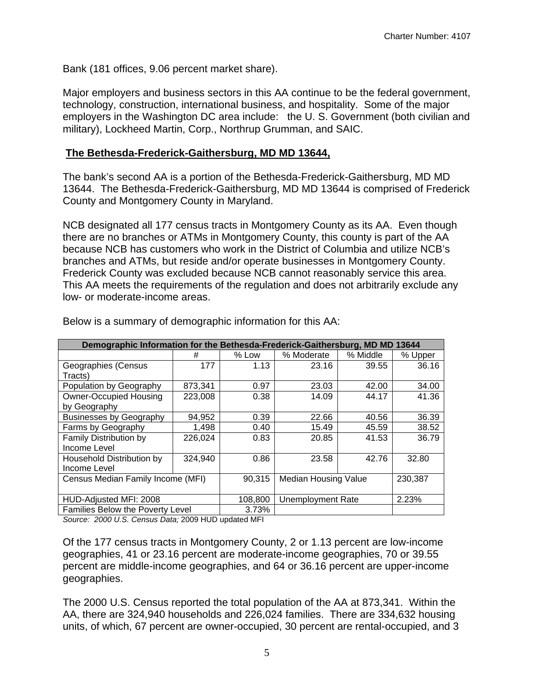Bank (181 offices, 9.06 percent market share).

Major employers and business sectors in this AA continue to be the federal government, technology, construction, international business, and hospitality. Some of the major employers in the Washington DC area include: the U. S. Government (both civilian and military), Lockheed Martin, Corp., Northrup Grumman, and SAIC.

#### **The Bethesda-Frederick-Gaithersburg, MD MD 13644,**

The bank's second AA is a portion of the Bethesda-Frederick-Gaithersburg, MD MD 13644. The Bethesda-Frederick-Gaithersburg, MD MD 13644 is comprised of Frederick County and Montgomery County in Maryland.

NCB designated all 177 census tracts in Montgomery County as its AA. Even though there are no branches or ATMs in Montgomery County, this county is part of the AA because NCB has customers who work in the District of Columbia and utilize NCB's branches and ATMs, but reside and/or operate businesses in Montgomery County. Frederick County was excluded because NCB cannot reasonably service this area. This AA meets the requirements of the regulation and does not arbitrarily exclude any low- or moderate-income areas.

| Demographic Information for the Bethesda-Frederick-Gaithersburg, MD MD 13644 |         |                   |                             |          |         |
|------------------------------------------------------------------------------|---------|-------------------|-----------------------------|----------|---------|
|                                                                              | #       | % Low             | % Moderate                  | % Middle | % Upper |
| Geographies (Census                                                          | 177     | 1.13              | 23.16                       | 39.55    | 36.16   |
| Tracts)                                                                      |         |                   |                             |          |         |
| Population by Geography                                                      | 873,341 | 0.97              | 23.03                       | 42.00    | 34.00   |
| <b>Owner-Occupied Housing</b>                                                | 223,008 | 0.38              | 14.09                       | 44.17    | 41.36   |
| by Geography                                                                 |         |                   |                             |          |         |
| <b>Businesses by Geography</b>                                               | 94,952  | 0.39              | 22.66                       | 40.56    | 36.39   |
| Farms by Geography                                                           | 1,498   | 0.40              | 15.49                       | 45.59    | 38.52   |
| Family Distribution by                                                       | 226,024 | 0.83              | 20.85                       | 41.53    | 36.79   |
| Income Level                                                                 |         |                   |                             |          |         |
| Household Distribution by                                                    | 324,940 | 0.86              | 23.58                       | 42.76    | 32.80   |
| Income Level                                                                 |         |                   |                             |          |         |
| Census Median Family Income (MFI)                                            |         | 90,315            | <b>Median Housing Value</b> |          | 230,387 |
|                                                                              |         |                   |                             |          |         |
| HUD-Adjusted MFI: 2008                                                       | 108,800 | Unemployment Rate |                             | 2.23%    |         |
| Families Below the Poverty Level                                             |         | 3.73%             |                             |          |         |

Below is a summary of demographic information for this AA:

*Source: 2000 U.S. Census Data;* 2009 HUD updated MFI

Of the 177 census tracts in Montgomery County, 2 or 1.13 percent are low-income geographies, 41 or 23.16 percent are moderate-income geographies, 70 or 39.55 percent are middle-income geographies, and 64 or 36.16 percent are upper-income geographies.

The 2000 U.S. Census reported the total population of the AA at 873,341. Within the AA, there are 324,940 households and 226,024 families. There are 334,632 housing units, of which, 67 percent are owner-occupied, 30 percent are rental-occupied, and 3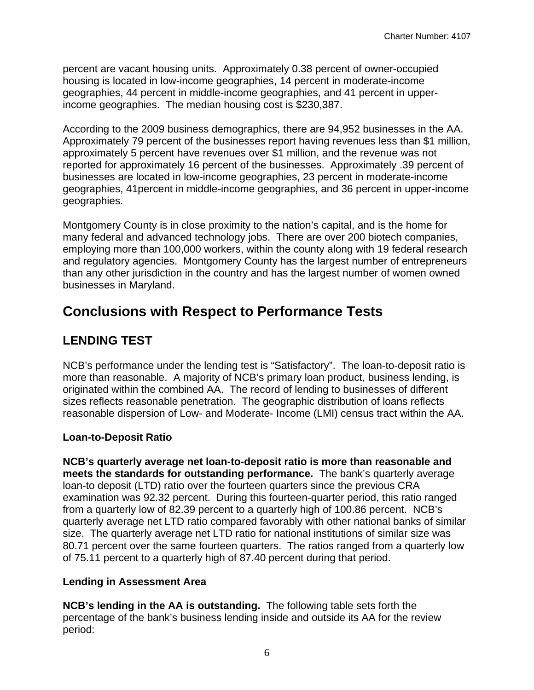percent are vacant housing units. Approximately 0.38 percent of owner-occupied housing is located in low-income geographies, 14 percent in moderate-income geographies, 44 percent in middle-income geographies, and 41 percent in upperincome geographies. The median housing cost is \$230,387.

According to the 2009 business demographics, there are 94,952 businesses in the AA. Approximately 79 percent of the businesses report having revenues less than \$1 million, approximately 5 percent have revenues over \$1 million, and the revenue was not reported for approximately 16 percent of the businesses. Approximately .39 percent of businesses are located in low-income geographies, 23 percent in moderate-income geographies, 41percent in middle-income geographies, and 36 percent in upper-income geographies.

Montgomery County is in close proximity to the nation's capital, and is the home for many federal and advanced technology jobs. There are over 200 biotech companies, employing more than 100,000 workers, within the county along with 19 federal research and regulatory agencies. Montgomery County has the largest number of entrepreneurs than any other jurisdiction in the country and has the largest number of women owned businesses in Maryland.

### **Conclusions with Respect to Performance Tests**

### **LENDING TEST**

NCB's performance under the lending test is "Satisfactory". The loan-to-deposit ratio is more than reasonable. A majority of NCB's primary loan product, business lending, is originated within the combined AA. The record of lending to businesses of different sizes reflects reasonable penetration. The geographic distribution of loans reflects reasonable dispersion of Low- and Moderate- Income (LMI) census tract within the AA.

#### **Loan-to-Deposit Ratio**

**NCB's quarterly average net loan-to-deposit ratio is more than reasonable and meets the standards for outstanding performance.** The bank's quarterly average loan-to deposit (LTD) ratio over the fourteen quarters since the previous CRA examination was 92.32 percent. During this fourteen-quarter period, this ratio ranged from a quarterly low of 82.39 percent to a quarterly high of 100.86 percent. NCB's quarterly average net LTD ratio compared favorably with other national banks of similar size. The quarterly average net LTD ratio for national institutions of similar size was 80.71 percent over the same fourteen quarters. The ratios ranged from a quarterly low of 75.11 percent to a quarterly high of 87.40 percent during that period.

#### **Lending in Assessment Area**

**NCB's lending in the AA is outstanding.** The following table sets forth the percentage of the bank's business lending inside and outside its AA for the review period: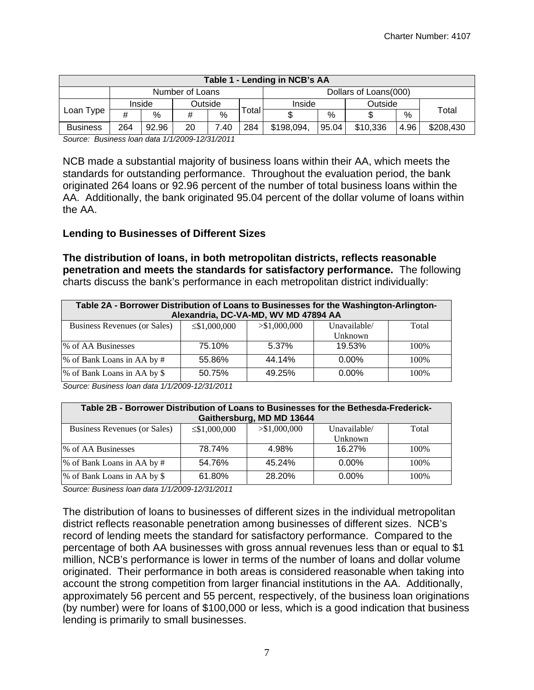| Table 1 - Lending in NCB's AA |     |        |         |      |       |            |                       |          |      |           |  |
|-------------------------------|-----|--------|---------|------|-------|------------|-----------------------|----------|------|-----------|--|
| Number of Loans               |     |        |         |      |       |            | Dollars of Loans(000) |          |      |           |  |
|                               |     | Inside | Outside |      |       | Inside     | Outside               |          |      |           |  |
| Loan Type                     | #   | %      | #       | $\%$ | Гоtal |            | %                     |          | $\%$ | Total     |  |
| <b>Business</b>               | 264 | 92.96  | 20      | .40  | 284   | \$198,094, | 95.04                 | \$10,336 | 4.96 | \$208,430 |  |

*Source: Business loan data 1/1/2009-12/31/2011* 

NCB made a substantial majority of business loans within their AA, which meets the standards for outstanding performance. Throughout the evaluation period, the bank originated 264 loans or 92.96 percent of the number of total business loans within the AA. Additionally, the bank originated 95.04 percent of the dollar volume of loans within the AA.

#### **Lending to Businesses of Different Sizes**

**The distribution of loans, in both metropolitan districts, reflects reasonable penetration and meets the standards for satisfactory performance.** The following charts discuss the bank's performance in each metropolitan district individually:

| Table 2A - Borrower Distribution of Loans to Businesses for the Washington-Arlington-<br>Alexandria, DC-VA-MD, WV MD 47894 AA |        |        |          |      |  |  |  |  |
|-------------------------------------------------------------------------------------------------------------------------------|--------|--------|----------|------|--|--|--|--|
| $>$ \$1,000,000<br>Business Revenues (or Sales)<br>Unavailable/<br>Total<br>$\leq$ \$1,000,000                                |        |        |          |      |  |  |  |  |
|                                                                                                                               |        |        | Unknown  |      |  |  |  |  |
| % of AA Businesses                                                                                                            | 75.10% | 5.37%  | 19.53%   | 100% |  |  |  |  |
| % of Bank Loans in AA by #                                                                                                    | 55.86% | 44.14% | $0.00\%$ | 100% |  |  |  |  |
| % of Bank Loans in AA by \$                                                                                                   | 50.75% | 49.25% | $0.00\%$ | 100% |  |  |  |  |

*Source: Business loan data 1/1/2009-12/31/2011* 

| Table 2B - Borrower Distribution of Loans to Businesses for the Bethesda-Frederick-<br>Gaithersburg, MD MD 13644 |        |        |          |      |  |  |  |  |
|------------------------------------------------------------------------------------------------------------------|--------|--------|----------|------|--|--|--|--|
| > \$1,000,000<br>Business Revenues (or Sales)<br>Unavailable/<br>Total<br>$\leq$ \$1,000,000                     |        |        |          |      |  |  |  |  |
|                                                                                                                  |        |        | Unknown  |      |  |  |  |  |
| % of AA Businesses                                                                                               | 78.74% | 4.98%  | 16.27%   | 100% |  |  |  |  |
| % of Bank Loans in AA by #                                                                                       | 54.76% | 45.24% | $0.00\%$ | 100% |  |  |  |  |
| % of Bank Loans in AA by \$                                                                                      | 61.80% | 28.20% | $0.00\%$ | 100% |  |  |  |  |

*Source: Business loan data 1/1/2009-12/31/2011* 

The distribution of loans to businesses of different sizes in the individual metropolitan district reflects reasonable penetration among businesses of different sizes. NCB's record of lending meets the standard for satisfactory performance. Compared to the percentage of both AA businesses with gross annual revenues less than or equal to \$1 million, NCB's performance is lower in terms of the number of loans and dollar volume originated. Their performance in both areas is considered reasonable when taking into account the strong competition from larger financial institutions in the AA. Additionally, approximately 56 percent and 55 percent, respectively, of the business loan originations (by number) were for loans of \$100,000 or less, which is a good indication that business lending is primarily to small businesses.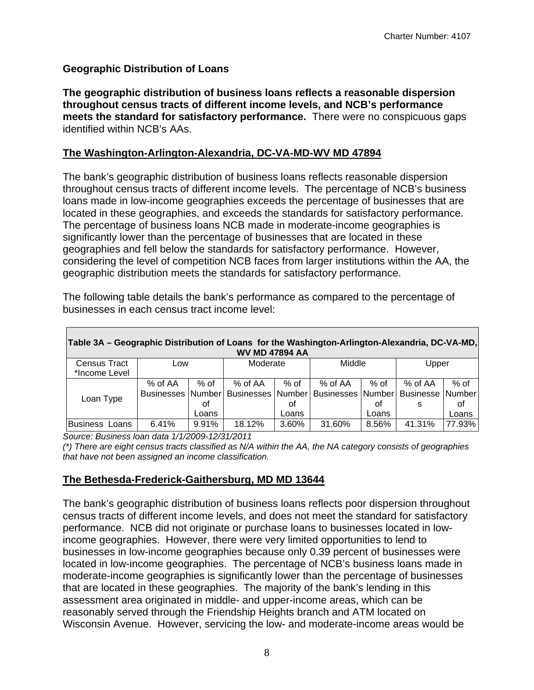#### **Geographic Distribution of Loans**

**The geographic distribution of business loans reflects a reasonable dispersion throughout census tracts of different income levels, and NCB's performance meets the standard for satisfactory performance.** There were no conspicuous gaps identified within NCB's AAs.

#### **The Washington-Arlington-Alexandria, DC-VA-MD-WV MD 47894**

The bank's geographic distribution of business loans reflects reasonable dispersion throughout census tracts of different income levels. The percentage of NCB's business loans made in low-income geographies exceeds the percentage of businesses that are located in these geographies, and exceeds the standards for satisfactory performance. The percentage of business loans NCB made in moderate-income geographies is significantly lower than the percentage of businesses that are located in these geographies and fell below the standards for satisfactory performance. However, considering the level of competition NCB faces from larger institutions within the AA, the geographic distribution meets the standards for satisfactory performance.

| Table 3A – Geographic Distribution of Loans for the Washington-Arlington-Alexandria, DC-VA-MD,<br><b>WV MD 47894 AA</b> |         |       |          |        |                                                                             |       |         |        |
|-------------------------------------------------------------------------------------------------------------------------|---------|-------|----------|--------|-----------------------------------------------------------------------------|-------|---------|--------|
| <b>Census Tract</b>                                                                                                     | Low     |       | Moderate |        | Middle                                                                      |       | Upper   |        |
| *Income Level                                                                                                           |         |       |          |        |                                                                             |       |         |        |
|                                                                                                                         | % of AA | % of  | % of AA  | $%$ of | % of AA                                                                     | % of  | % of AA | $%$ of |
| Loan Type                                                                                                               |         |       |          |        | Businesses   Number   Businesses   Number   Businesses   Number   Businesse |       |         | Number |
|                                                                                                                         |         | οf    |          | οt     |                                                                             | οf    | s       | οf     |
|                                                                                                                         |         | Loans |          | Loans  |                                                                             | Loans |         | Loans  |
| Business Loans                                                                                                          | 6.41%   | 9.91% | 18.12%   | 3.60%  | 31.60%                                                                      | 8.56% | 41.31%  | 77.93% |

The following table details the bank's performance as compared to the percentage of businesses in each census tract income level:

*Source: Business loan data 1/1/2009-12/31/2011* 

 *that have not been assigned an income classification. (\*) There are eight census tracts classified as N/A within the AA, the NA category consists of geographies* 

#### **The Bethesda-Frederick-Gaithersburg, MD MD 13644**

The bank's geographic distribution of business loans reflects poor dispersion throughout census tracts of different income levels, and does not meet the standard for satisfactory performance. NCB did not originate or purchase loans to businesses located in lowincome geographies. However, there were very limited opportunities to lend to businesses in low-income geographies because only 0.39 percent of businesses were located in low-income geographies. The percentage of NCB's business loans made in moderate-income geographies is significantly lower than the percentage of businesses that are located in these geographies. The majority of the bank's lending in this assessment area originated in middle- and upper-income areas, which can be reasonably served through the Friendship Heights branch and ATM located on Wisconsin Avenue. However, servicing the low- and moderate-income areas would be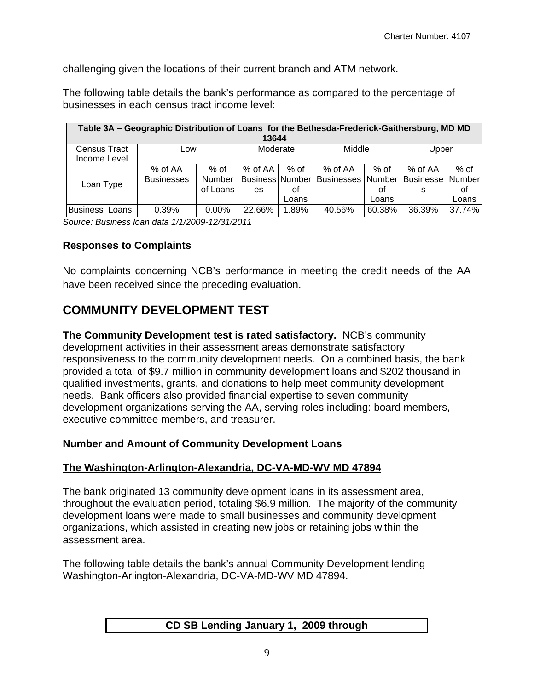challenging given the locations of their current branch and ATM network.

The following table details the bank's performance as compared to the percentage of businesses in each census tract income level:

| Table 3A - Geographic Distribution of Loans for the Bethesda-Frederick-Gaithersburg, MD MD |                   |          |                        |        |                   |        |                           |        |  |
|--------------------------------------------------------------------------------------------|-------------------|----------|------------------------|--------|-------------------|--------|---------------------------|--------|--|
| 13644                                                                                      |                   |          |                        |        |                   |        |                           |        |  |
| Census Tract<br>Income Level                                                               | Low               |          | Moderate               |        | Middle            |        | Upper                     |        |  |
|                                                                                            | % of AA           | $%$ of   | $%$ of AA              | $%$ of | % of AA           | $%$ of | % of AA                   | $%$ of |  |
| Loan Type                                                                                  | <b>Businesses</b> | Number   | <b>Business Number</b> |        | Businesses Number |        | <b>Businesse   Number</b> |        |  |
|                                                                                            |                   | of Loans | es                     | οf     |                   | οt     | s                         | οf     |  |
|                                                                                            |                   |          |                        | Loans  |                   | Loans  |                           | Loans  |  |
| <b>Business Loans</b>                                                                      | 0.39%             | 0.00%    | 22.66%                 | 1.89%  | 40.56%            | 60.38% | 36.39%                    | 37.74% |  |

*Source: Business loan data 1/1/2009-12/31/2011* 

#### **Responses to Complaints**

No complaints concerning NCB's performance in meeting the credit needs of the AA have been received since the preceding evaluation.

### **COMMUNITY DEVELOPMENT TEST**

**The Community Development test is rated satisfactory.** NCB's community development activities in their assessment areas demonstrate satisfactory responsiveness to the community development needs. On a combined basis, the bank provided a total of \$9.7 million in community development loans and \$202 thousand in qualified investments, grants, and donations to help meet community development needs. Bank officers also provided financial expertise to seven community development organizations serving the AA, serving roles including: board members, executive committee members, and treasurer.

#### **Number and Amount of Community Development Loans**

#### **The Washington-Arlington-Alexandria, DC-VA-MD-WV MD 47894**

The bank originated 13 community development loans in its assessment area, throughout the evaluation period, totaling \$6.9 million. The majority of the community development loans were made to small businesses and community development organizations, which assisted in creating new jobs or retaining jobs within the assessment area.

The following table details the bank's annual Community Development lending Washington-Arlington-Alexandria, DC-VA-MD-WV MD 47894.

#### **CD SB Lending January 1, 2009 through**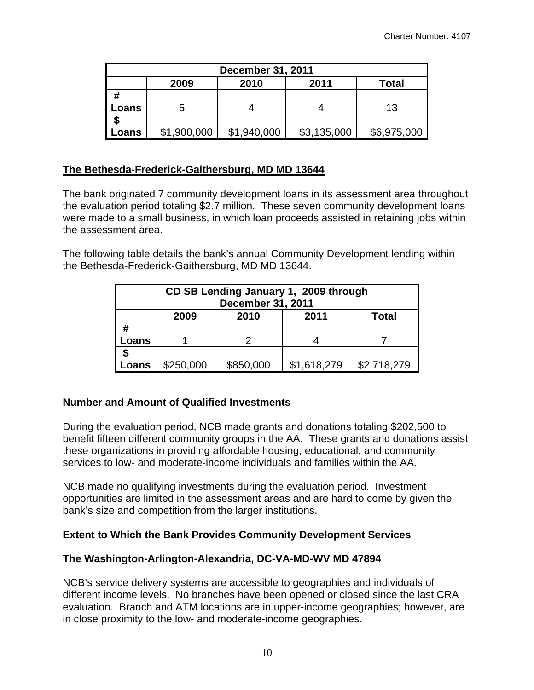| <b>December 31, 2011</b> |                               |             |             |             |  |  |  |  |
|--------------------------|-------------------------------|-------------|-------------|-------------|--|--|--|--|
|                          | 2010<br>2011<br>2009<br>Total |             |             |             |  |  |  |  |
| #                        |                               |             |             |             |  |  |  |  |
| Loans                    |                               |             |             | 13          |  |  |  |  |
|                          |                               |             |             |             |  |  |  |  |
| Loans                    | \$1,900,000                   | \$1,940,000 | \$3,135,000 | \$6,975,000 |  |  |  |  |

#### **The Bethesda-Frederick-Gaithersburg, MD MD 13644**

The bank originated 7 community development loans in its assessment area throughout the evaluation period totaling \$2.7 million. These seven community development loans were made to a small business, in which loan proceeds assisted in retaining jobs within the assessment area.

The following table details the bank's annual Community Development lending within the Bethesda-Frederick-Gaithersburg, MD MD 13644.

| CD SB Lending January 1, 2009 through<br><b>December 31, 2011</b> |                               |           |             |             |  |  |  |  |
|-------------------------------------------------------------------|-------------------------------|-----------|-------------|-------------|--|--|--|--|
|                                                                   | 2010<br>2011<br>2009<br>Total |           |             |             |  |  |  |  |
| #                                                                 |                               |           |             |             |  |  |  |  |
| Loans                                                             |                               |           |             |             |  |  |  |  |
|                                                                   |                               |           |             |             |  |  |  |  |
| .oans                                                             | \$250,000                     | \$850,000 | \$1,618,279 | \$2,718,279 |  |  |  |  |

#### **Number and Amount of Qualified Investments**

During the evaluation period, NCB made grants and donations totaling \$202,500 to benefit fifteen different community groups in the AA. These grants and donations assist these organizations in providing affordable housing, educational, and community services to low- and moderate-income individuals and families within the AA.

NCB made no qualifying investments during the evaluation period. Investment opportunities are limited in the assessment areas and are hard to come by given the bank's size and competition from the larger institutions.

#### **Extent to Which the Bank Provides Community Development Services**

#### **The Washington-Arlington-Alexandria, DC-VA-MD-WV MD 47894**

NCB's service delivery systems are accessible to geographies and individuals of different income levels. No branches have been opened or closed since the last CRA evaluation. Branch and ATM locations are in upper-income geographies; however, are in close proximity to the low- and moderate-income geographies.